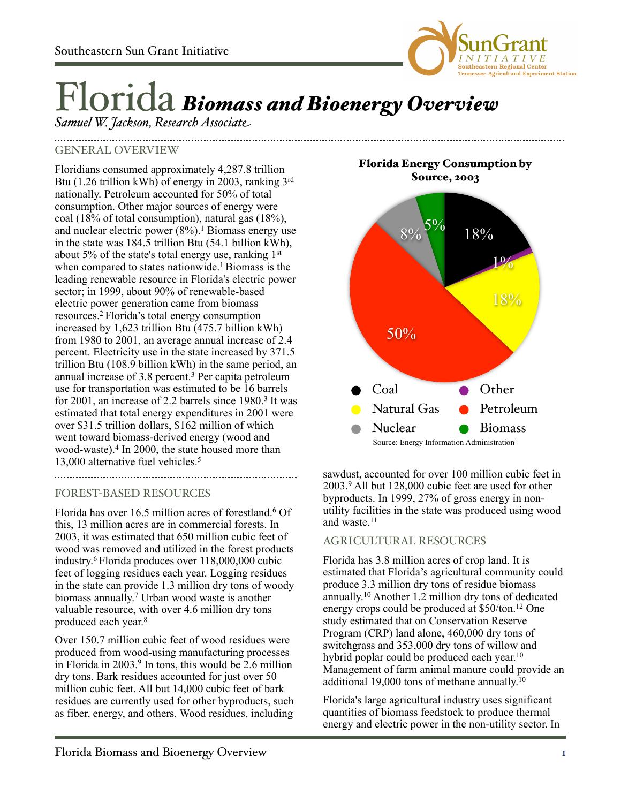

# Florida *Biomass and Bioenergy Overview*

*Samuel W. Jackson, Research Associate*

## GENERAL OVERVIEW

Floridians consumed approximately 4,287.8 trillion Btu (1.26 trillion kWh) of energy in 2003, ranking 3rd nationally. Petroleum accounted for 50% of total consumption. Other major sources of energy were coal (18% of total consumption), natural gas (18%), and nuclear electric power  $(8\%)$ <sup>1</sup> Biomass energy use in the state was 184.5 trillion Btu (54.1 billion kWh), about 5% of the state's total energy use, ranking 1st when compared to states nationwide.<sup>1</sup> Biomass is the leading renewable resource in Florida's electric power sector; in 1999, about 90% of renewable-based electric power generation came from biomass resources.2 Florida's total energy consumption increased by 1,623 trillion Btu (475.7 billion kWh) from 1980 to 2001, an average annual increase of 2.4 percent. Electricity use in the state increased by 371.5 trillion Btu (108.9 billion kWh) in the same period, an annual increase of 3.8 percent.3 Per capita petroleum use for transportation was estimated to be 16 barrels for 2001, an increase of 2.2 barrels since 1980.<sup>3</sup> It was estimated that total energy expenditures in 2001 were over \$31.5 trillion dollars, \$162 million of which went toward biomass-derived energy (wood and wood-waste).4 In 2000, the state housed more than 13,000 alternative fuel vehicles.5

## FOREST-BASED RESOURCES

Florida has over 16.5 million acres of forestland.<sup>6</sup> Of this, 13 million acres are in commercial forests. In 2003, it was estimated that 650 million cubic feet of wood was removed and utilized in the forest products industry. 6 Florida produces over 118,000,000 cubic feet of logging residues each year. Logging residues in the state can provide 1.3 million dry tons of woody biomass annually. 7 Urban wood waste is another valuable resource, with over 4.6 million dry tons produced each year. 8

Over 150.7 million cubic feet of wood residues were produced from wood-using manufacturing processes in Florida in 2003.<sup>9</sup> In tons, this would be 2.6 million dry tons. Bark residues accounted for just over 50 million cubic feet. All but 14,000 cubic feet of bark residues are currently used for other byproducts, such as fiber, energy, and others. Wood residues, including

Florida Energy Consumption by



sawdust, accounted for over 100 million cubic feet in 2003.9 All but 128,000 cubic feet are used for other byproducts. In 1999, 27% of gross energy in nonutility facilities in the state was produced using wood and waste.<sup>11</sup>

## AGRICULTURAL RESOURCES

Florida has 3.8 million acres of crop land. It is estimated that Florida's agricultural community could produce 3.3 million dry tons of residue biomass annually. <sup>10</sup> Another 1.2 million dry tons of dedicated energy crops could be produced at \$50/ton.12 One study estimated that on Conservation Reserve Program (CRP) land alone, 460,000 dry tons of switchgrass and 353,000 dry tons of willow and hybrid poplar could be produced each year.<sup>10</sup> Management of farm animal manure could provide an additional 19,000 tons of methane annually.<sup>10</sup>

Florida's large agricultural industry uses significant quantities of biomass feedstock to produce thermal energy and electric power in the non-utility sector. In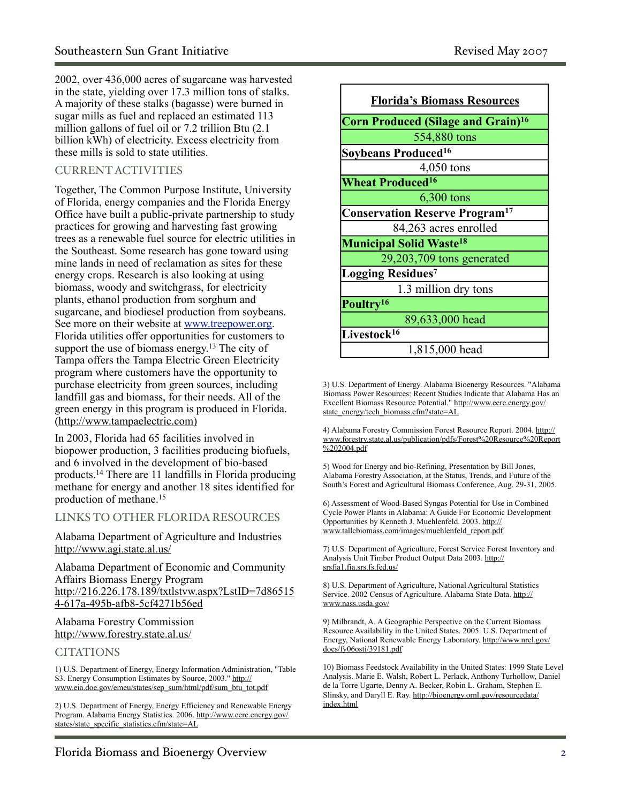2002, over 436,000 acres of sugarcane was harvested in the state, yielding over 17.3 million tons of stalks. A majority of these stalks (bagasse) were burned in sugar mills as fuel and replaced an estimated 113 million gallons of fuel oil or 7.2 trillion Btu (2.1 billion kWh) of electricity. Excess electricity from these mills is sold to state utilities.

## CURRENT ACTIVITIES

Together, The Common Purpose Institute, University of Florida, energy companies and the Florida Energy Office have built a public-private partnership to study practices for growing and harvesting fast growing trees as a renewable fuel source for electric utilities in the Southeast. Some research has gone toward using mine lands in need of reclamation as sites for these energy crops. Research is also looking at using biomass, woody and switchgrass, for electricity plants, ethanol production from sorghum and sugarcane, and biodiesel production from soybeans. See more on their website at [www.treepower.org](http://www.treepower.org). Florida utilities offer opportunities for customers to support the use of biomass energy.<sup>13</sup> The city of Tampa offers the Tampa Electric Green Electricity program where customers have the opportunity to purchase electricity from green sources, including landfill gas and biomass, for their needs. All of the green energy in this program is produced in Florida. ([http://www.tampaelectric.com\)](http://www.tampaelectric.com/TERERenewableEnergy.cfm)

In 2003, Florida had 65 facilities involved in biopower production, 3 facilities producing biofuels, and 6 involved in the development of bio-based products.14 There are 11 landfills in Florida producing methane for energy and another 18 sites identified for production of methane.15

### LINKS TO OTHER FLORIDA RESOURCES

Alabama Department of Agriculture and Industries <http://www.agi.state.al.us/>

Alabama Department of Economic and Community Affairs Biomass Energy Program [http://216.226.178.189/txtlstvw.aspx?LstID=7d86515](http://216.226.178.189/txtlstvw.aspx?LstID=7d865154-617a-495b-afb8-5cf4271b56ed) [4-617a-495b-afb8-5cf4271b56ed](http://216.226.178.189/txtlstvw.aspx?LstID=7d865154-617a-495b-afb8-5cf4271b56ed)

### Alabama Forestry Commission <http://www.forestry.state.al.us/>

### **CITATIONS**

1) U.S. Department of Energy, Energy Information Administration, "Table S3. Energy Consumption Estimates by Source, 2003." [http://](http://www.eia.doe.gov/emeu/states/sep_sum/html/pdf/sum_btu_tot.pdf) [www.eia.doe.gov/emeu/states/sep\\_sum/html/pdf/sum\\_btu\\_tot.pdf](http://www.eia.doe.gov/emeu/states/sep_sum/html/pdf/sum_btu_tot.pdf)

2) U.S. Department of Energy, Energy Efficiency and Renewable Energy Program. Alabama Energy Statistics. 2006. [http://www.eere.energy.gov/](http://www.eere.energy.gov/states/state_specific_statistics.cfm/state=AL) [states/state\\_specific\\_statistics.cfm/state=AL](http://www.eere.energy.gov/states/state_specific_statistics.cfm/state=AL)



3) U.S. Department of Energy. Alabama Bioenergy Resources. "Alabama Biomass Power Resources: Recent Studies Indicate that Alabama Has an Excellent Biomass Resource Potential." [http://www.eere.energy.gov/](http://www.eere.energy.gov/state_energy/tech_biomass.cfm?state=AL) [state\\_energy/tech\\_biomass.cfm?state=AL](http://www.eere.energy.gov/state_energy/tech_biomass.cfm?state=AL)

4) Alabama Forestry Commission Forest Resource Report. 2004. [http://](http://www.forestry.state.al.us/publication/pdfs/Forest%20Resource%20Report%202004.pdf) [www.forestry.state.al.us/publication/pdfs/Forest%20Resource%20Report](http://www.forestry.state.al.us/publication/pdfs/Forest%20Resource%20Report%202004.pdf) [%202004.pdf](http://www.forestry.state.al.us/publication/pdfs/Forest%20Resource%20Report%202004.pdf)

5) Wood for Energy and bio-Refining, Presentation by Bill Jones, Alabama Forestry Association, at the Status, Trends, and Future of the South's Forest and Agricultural Biomass Conference, Aug. 29-31, 2005.

6) Assessment of Wood-Based Syngas Potential for Use in Combined Cycle Power Plants in Alabama: A Guide For Economic Development Opportunities by Kenneth J. Muehlenfeld. 2003. [http://](http://www.tallcbiomass.com/images/muehlenfeld_report.pdf) [www.tallcbiomass.com/images/muehlenfeld\\_report.pdf](http://www.tallcbiomass.com/images/muehlenfeld_report.pdf)

7) U.S. Department of Agriculture, Forest Service Forest Inventory and Analysis Unit Timber Product Output Data 2003. [http://](http://srsfia1.fia.srs.fs.fed.us/) [srsfia1.fia.srs.fs.fed.us/](http://srsfia1.fia.srs.fs.fed.us/)

8) U.S. Department of Agriculture, National Agricultural Statistics Service. 2002 Census of Agriculture. Alabama State Data. [http://](http://www.nass.usda.gov/) [www.nass.usda.gov/](http://www.nass.usda.gov/)

9) Milbrandt, A. A Geographic Perspective on the Current Biomass Resource Availability in the United States. 2005. U.S. Department of Energy, National Renewable Energy Laboratory. [http://www.nrel.gov/](http://www.nrel.gov/docs/fy06osti/39181.pdf) [docs/fy06osti/39181.pdf](http://www.nrel.gov/docs/fy06osti/39181.pdf)

10) Biomass Feedstock Availability in the United States: 1999 State Level Analysis. Marie E. Walsh, Robert L. Perlack, Anthony Turhollow, Daniel de la Torre Ugarte, Denny A. Becker, Robin L. Graham, Stephen E. Slinsky, and Daryll E. Ray. [http://bioenergy.ornl.gov/resourcedata/](http://bioenergy.ornl.gov/resourcedata/index.html) [index.html](http://bioenergy.ornl.gov/resourcedata/index.html)